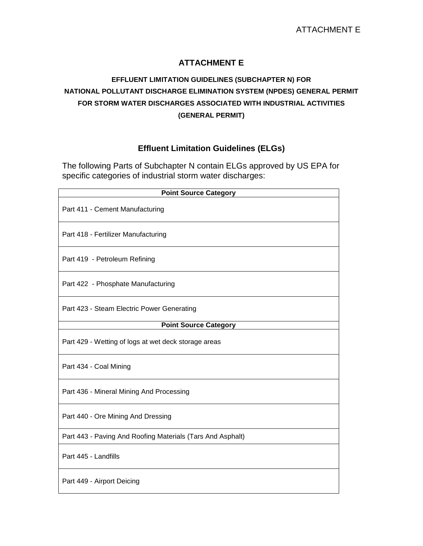## **ATTACHMENT E**

## **EFFLUENT LIMITATION GUIDELINES (SUBCHAPTER N) FOR NATIONAL POLLUTANT DISCHARGE ELIMINATION SYSTEM (NPDES) GENERAL PERMIT FOR STORM WATER DISCHARGES ASSOCIATED WITH INDUSTRIAL ACTIVITIES (GENERAL PERMIT)**

## **Effluent Limitation Guidelines (ELGs)**

The following Parts of Subchapter N contain ELGs approved by US EPA for specific categories of industrial storm water discharges:

| <b>Point Source Category</b>                               |  |  |  |  |
|------------------------------------------------------------|--|--|--|--|
| Part 411 - Cement Manufacturing                            |  |  |  |  |
| Part 418 - Fertilizer Manufacturing                        |  |  |  |  |
| Part 419 - Petroleum Refining                              |  |  |  |  |
| Part 422 - Phosphate Manufacturing                         |  |  |  |  |
| Part 423 - Steam Electric Power Generating                 |  |  |  |  |
| <b>Point Source Category</b>                               |  |  |  |  |
| Part 429 - Wetting of logs at wet deck storage areas       |  |  |  |  |
| Part 434 - Coal Mining                                     |  |  |  |  |
| Part 436 - Mineral Mining And Processing                   |  |  |  |  |
| Part 440 - Ore Mining And Dressing                         |  |  |  |  |
| Part 443 - Paving And Roofing Materials (Tars And Asphalt) |  |  |  |  |
| Part 445 - Landfills                                       |  |  |  |  |
| Part 449 - Airport Deicing                                 |  |  |  |  |